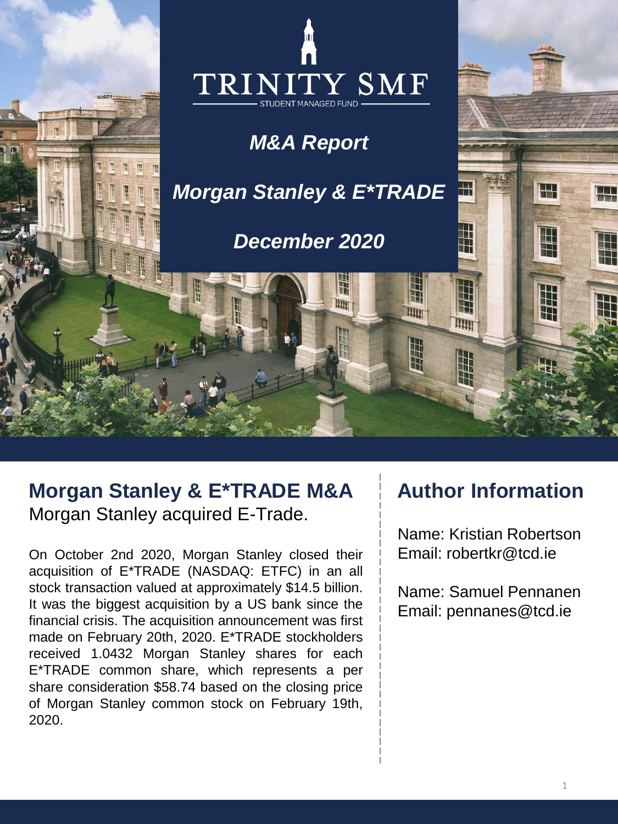

# **Morgan Stanley & E\*TRADE M&A** Morgan Stanley acquired E-Trade.

On October 2nd 2020, Morgan Stanley closed their acquisition of E\*TRADE (NASDAQ: ETFC) in an all stock transaction valued at approximately \$14.5 billion. It was the biggest acquisition by a US bank since the financial crisis. The acquisition announcement was first made on February 20th, 2020. E\*TRADE stockholders received 1.0432 Morgan Stanley shares for each E\*TRADE common share, which represents a per share consideration \$58.74 based on the closing price of Morgan Stanley common stock on February 19th, 2020.

# **Author Information**

Name: Kristian Robertson Email: robertkr@tcd.ie

Name: Samuel Pennanen Email: pennanes@tcd.ie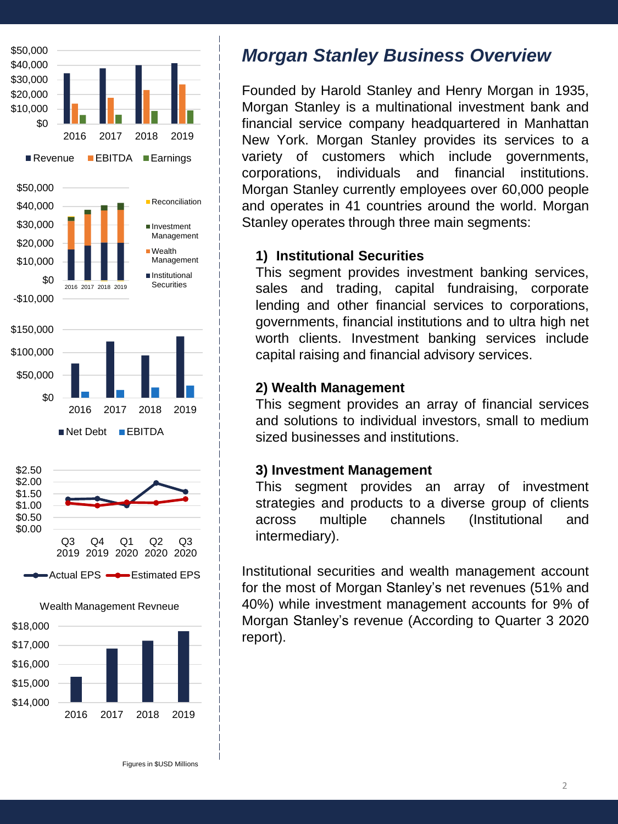



## *Morgan Stanley Business Overview*

Founded by Harold Stanley and Henry Morgan in 1935, Morgan Stanley is a multinational investment bank and financial service company headquartered in Manhattan New York. Morgan Stanley provides its services to a variety of customers which include governments, corporations, individuals and financial institutions. Morgan Stanley currently employees over 60,000 people and operates in 41 countries around the world. Morgan Stanley operates through three main segments:

### **1) Institutional Securities**

This segment provides investment banking services, sales and trading, capital fundraising, corporate lending and other financial services to corporations, governments, financial institutions and to ultra high net worth clients. Investment banking services include capital raising and financial advisory services.

#### **2) Wealth Management**

This segment provides an array of financial services and solutions to individual investors, small to medium sized businesses and institutions.

#### **3) Investment Management**

This segment provides an array of investment strategies and products to a diverse group of clients across multiple channels (Institutional and intermediary).

Institutional securities and wealth management account for the most of Morgan Stanley's net revenues (51% and 40%) while investment management accounts for 9% of Morgan Stanley's revenue (According to Quarter 3 2020 report).

Figures in \$USD Millions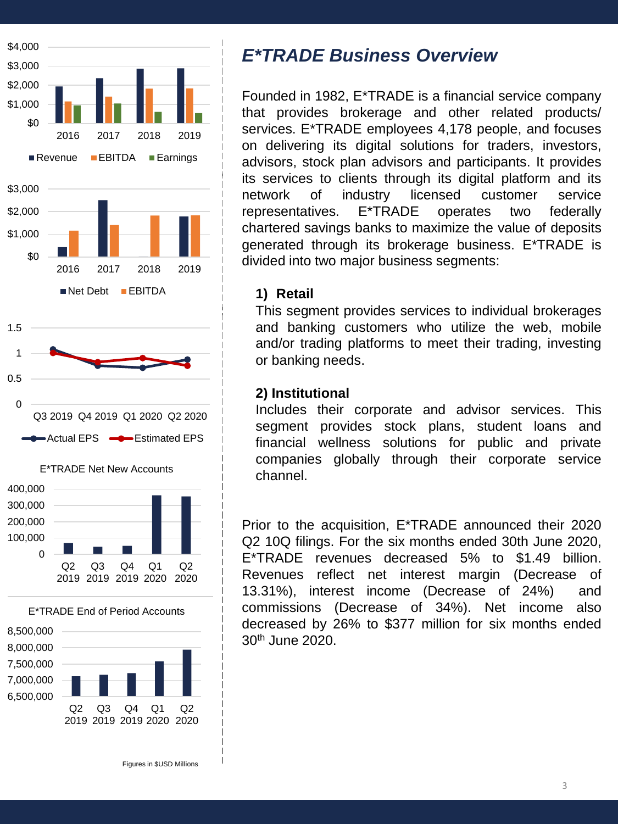







### *E\*TRADE Business Overview*

Founded in 1982, E\*TRADE is a financial service company that provides brokerage and other related products/ services. E\*TRADE employees 4,178 people, and focuses on delivering its digital solutions for traders, investors, advisors, stock plan advisors and participants. It provides its services to clients through its digital platform and its network of industry licensed customer service representatives. E\*TRADE operates two federally chartered savings banks to maximize the value of deposits generated through its brokerage business. E\*TRADE is divided into two major business segments:

#### **1) Retail**

This segment provides services to individual brokerages and banking customers who utilize the web, mobile and/or trading platforms to meet their trading, investing or banking needs.

#### **2) Institutional**

Includes their corporate and advisor services. This segment provides stock plans, student loans and financial wellness solutions for public and private companies globally through their corporate service channel.

Prior to the acquisition, E\*TRADE announced their 2020 Q2 10Q filings. For the six months ended 30th June 2020, E\*TRADE revenues decreased 5% to \$1.49 billion. Revenues reflect net interest margin (Decrease of 13.31%), interest income (Decrease of 24%) and commissions (Decrease of 34%). Net income also decreased by 26% to \$377 million for six months ended 30th June 2020.

Figures in \$USD Millions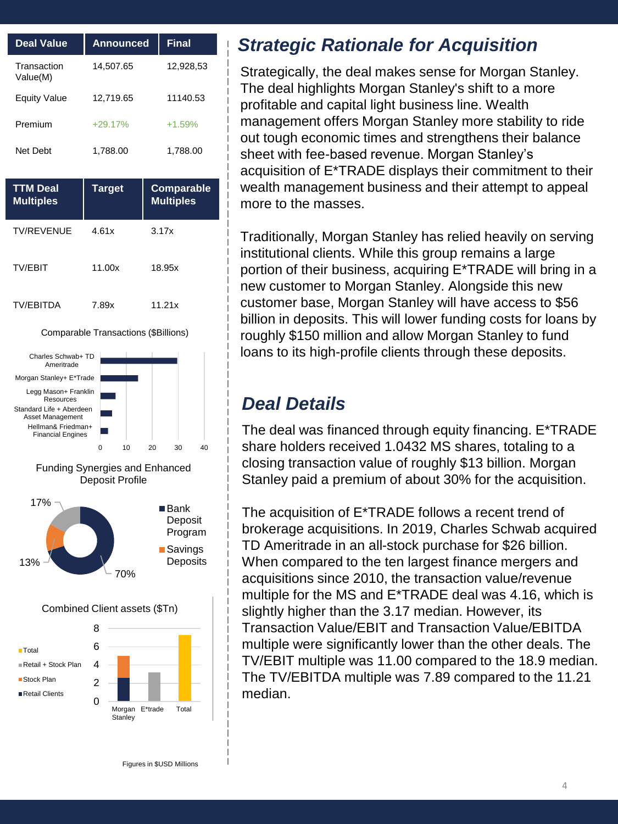| <b>Deal Value</b>       | <b>Announced</b> | <b>Final</b>      |
|-------------------------|------------------|-------------------|
| Transaction<br>Value(M) | 14,507.65        | 12,928,53         |
| <b>Equity Value</b>     | 12,719.65        | 11140.53          |
| Premium                 | $+29.17%$        | $+1.59%$          |
| Net Debt                | 1,788.00         | 1,788.00          |
|                         |                  |                   |
| <b>TTM Deal</b>         | <b>Target</b>    | <b>Comparable</b> |
| <b>Multiples</b>        |                  | <b>Multiples</b>  |
| <b>TV/REVENUE</b>       | 4.61x            | 3.17x             |
| <b>TV/FBIT</b>          | 11.00x           | 18.95x            |



#### Comparable Transactions (\$Billions)





# *Strategic Rationale for Acquisition*

Strategically, the deal makes sense for Morgan Stanley. The deal highlights Morgan Stanley's shift to a more profitable and capital light business line. Wealth management offers Morgan Stanley more stability to ride out tough economic times and strengthens their balance sheet with fee-based revenue. Morgan Stanley's acquisition of E\*TRADE displays their commitment to their wealth management business and their attempt to appeal more to the masses.

Traditionally, Morgan Stanley has relied heavily on serving institutional clients. While this group remains a large portion of their business, acquiring E\*TRADE will bring in a new customer to Morgan Stanley. Alongside this new customer base, Morgan Stanley will have access to \$56 billion in deposits. This will lower funding costs for loans by roughly \$150 million and allow Morgan Stanley to fund loans to its high-profile clients through these deposits.

### *Deal Details*

The deal was financed through equity financing. E\*TRADE share holders received 1.0432 MS shares, totaling to a closing transaction value of roughly \$13 billion. Morgan Stanley paid a premium of about 30% for the acquisition.

The acquisition of E\*TRADE follows a recent trend of brokerage acquisitions. In 2019, Charles Schwab acquired TD Ameritrade in an all-stock purchase for \$26 billion. When compared to the ten largest finance mergers and acquisitions since 2010, the transaction value/revenue multiple for the MS and E\*TRADE deal was 4.16, which is slightly higher than the 3.17 median. However, its Transaction Value/EBIT and Transaction Value/EBITDA multiple were significantly lower than the other deals. The TV/EBIT multiple was 11.00 compared to the 18.9 median. The TV/EBITDA multiple was 7.89 compared to the 11.21 median.

Figures in \$USD Millions

Morgan E\*trade Total

**Stanley**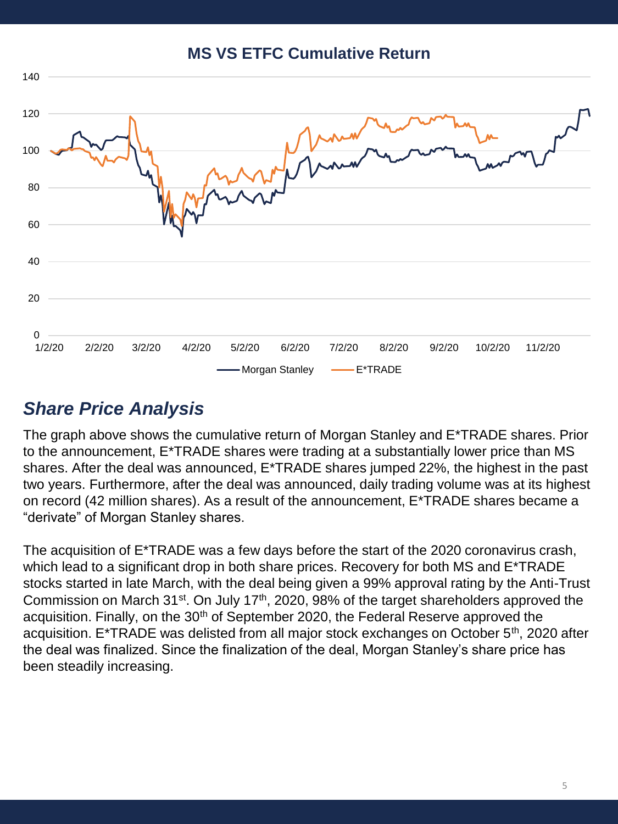**MS VS ETFC Cumulative Return** 



### *Share Price Analysis*

The graph above shows the cumulative return of Morgan Stanley and E\*TRADE shares. Prior to the announcement, E\*TRADE shares were trading at a substantially lower price than MS shares. After the deal was announced, E\*TRADE shares jumped 22%, the highest in the past two years. Furthermore, after the deal was announced, daily trading volume was at its highest on record (42 million shares). As a result of the announcement, E\*TRADE shares became a "derivate" of Morgan Stanley shares.

The acquisition of E\*TRADE was a few days before the start of the 2020 coronavirus crash, which lead to a significant drop in both share prices. Recovery for both MS and E\*TRADE stocks started in late March, with the deal being given a 99% approval rating by the Anti-Trust Commission on March 31<sup>st</sup>. On July 17<sup>th</sup>, 2020, 98% of the target shareholders approved the acquisition. Finally, on the 30<sup>th</sup> of September 2020, the Federal Reserve approved the acquisition. E\*TRADE was delisted from all major stock exchanges on October 5<sup>th</sup>, 2020 after the deal was finalized. Since the finalization of the deal, Morgan Stanley's share price has been steadily increasing.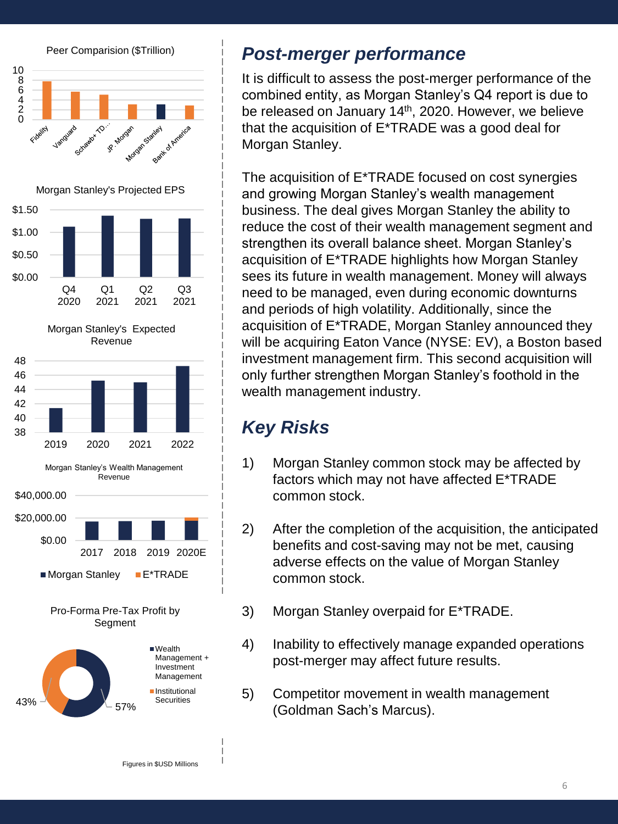

### *Post-merger performance*

It is difficult to assess the post-merger performance of the combined entity, as Morgan Stanley's Q4 report is due to be released on January 14<sup>th</sup>, 2020. However, we believe that the acquisition of E\*TRADE was a good deal for Morgan Stanley.

The acquisition of E\*TRADE focused on cost synergies and growing Morgan Stanley's wealth management business. The deal gives Morgan Stanley the ability to reduce the cost of their wealth management segment and strengthen its overall balance sheet. Morgan Stanley's acquisition of E\*TRADE highlights how Morgan Stanley sees its future in wealth management. Money will always need to be managed, even during economic downturns and periods of high volatility. Additionally, since the acquisition of E\*TRADE, Morgan Stanley announced they will be acquiring Eaton Vance (NYSE: EV), a Boston based investment management firm. This second acquisition will only further strengthen Morgan Stanley's foothold in the wealth management industry.

# *Key Risks*

- 1) Morgan Stanley common stock may be affected by factors which may not have affected E\*TRADE common stock.
- 2) After the completion of the acquisition, the anticipated benefits and cost-saving may not be met, causing adverse effects on the value of Morgan Stanley common stock.
- 3) Morgan Stanley overpaid for E\*TRADE.
- 4) Inability to effectively manage expanded operations post-merger may affect future results.
- 5) Competitor movement in wealth management (Goldman Sach's Marcus).